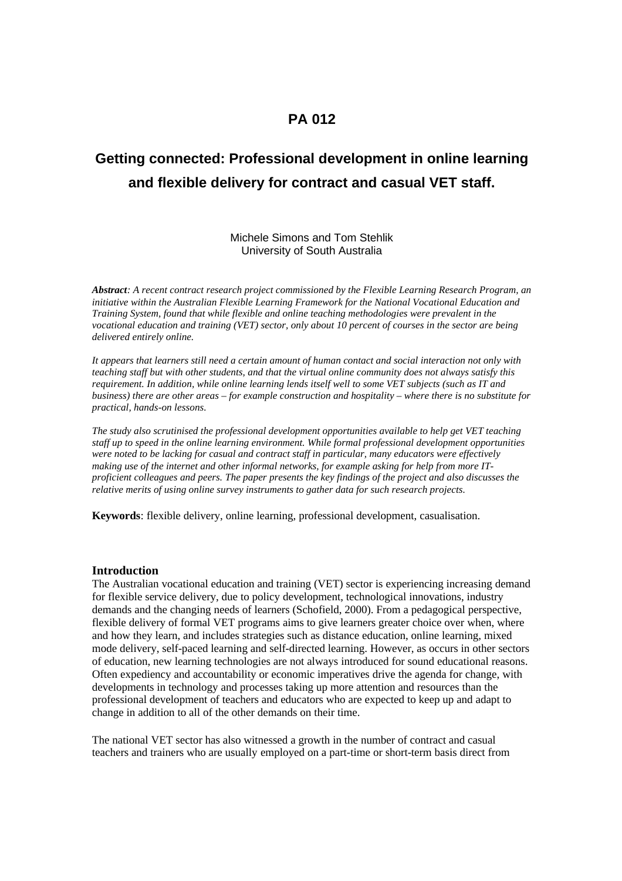# **PA 012**

# **Getting connected: Professional development in online learning and flexible delivery for contract and casual VET staff.**

## Michele Simons and Tom Stehlik University of South Australia

*Abstract: A recent contract research project commissioned by the Flexible Learning Research Program, an initiative within the Australian Flexible Learning Framework for the National Vocational Education and Training System, found that while flexible and online teaching methodologies were prevalent in the vocational education and training (VET) sector, only about 10 percent of courses in the sector are being delivered entirely online.*

*It appears that learners still need a certain amount of human contact and social interaction not only with teaching staff but with other students, and that the virtual online community does not always satisfy this requirement. In addition, while online learning lends itself well to some VET subjects (such as IT and business) there are other areas – for example construction and hospitality – where there is no substitute for practical, hands-on lessons.* 

*The study also scrutinised the professional development opportunities available to help get VET teaching staff up to speed in the online learning environment. While formal professional development opportunities were noted to be lacking for casual and contract staff in particular, many educators were effectively making use of the internet and other informal networks, for example asking for help from more ITproficient colleagues and peers. The paper presents the key findings of the project and also discusses the relative merits of using online survey instruments to gather data for such research projects.*

**Keywords**: flexible delivery, online learning, professional development, casualisation.

#### **Introduction**

The Australian vocational education and training (VET) sector is experiencing increasing demand for flexible service delivery, due to policy development, technological innovations, industry demands and the changing needs of learners (Schofield, 2000). From a pedagogical perspective, flexible delivery of formal VET programs aims to give learners greater choice over when, where and how they learn, and includes strategies such as distance education, online learning, mixed mode delivery, self-paced learning and self-directed learning. However, as occurs in other sectors of education, new learning technologies are not always introduced for sound educational reasons. Often expediency and accountability or economic imperatives drive the agenda for change, with developments in technology and processes taking up more attention and resources than the professional development of teachers and educators who are expected to keep up and adapt to change in addition to all of the other demands on their time.

The national VET sector has also witnessed a growth in the number of contract and casual teachers and trainers who are usually employed on a part-time or short-term basis direct from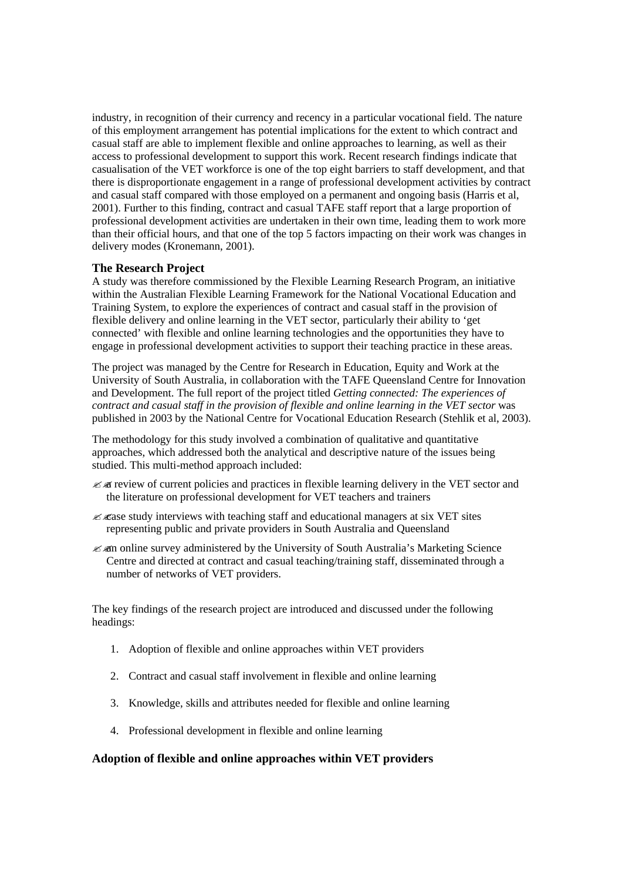industry, in recognition of their currency and recency in a particular vocational field. The nature of this employment arrangement has potential implications for the extent to which contract and casual staff are able to implement flexible and online approaches to learning, as well as their access to professional development to support this work. Recent research findings indicate that casualisation of the VET workforce is one of the top eight barriers to staff development, and that there is disproportionate engagement in a range of professional development activities by contract and casual staff compared with those employed on a permanent and ongoing basis (Harris et al, 2001). Further to this finding, contract and casual TAFE staff report that a large proportion of professional development activities are undertaken in their own time, leading them to work more than their official hours, and that one of the top 5 factors impacting on their work was changes in delivery modes (Kronemann, 2001).

# **The Research Project**

A study was therefore commissioned by the Flexible Learning Research Program, an initiative within the Australian Flexible Learning Framework for the National Vocational Education and Training System, to explore the experiences of contract and casual staff in the provision of flexible delivery and online learning in the VET sector, particularly their ability to 'get connected' with flexible and online learning technologies and the opportunities they have to engage in professional development activities to support their teaching practice in these areas.

The project was managed by the Centre for Research in Education, Equity and Work at the University of South Australia, in collaboration with the TAFE Queensland Centre for Innovation and Development. The full report of the project titled *Getting connected: The experiences of contract and casual staff in the provision of flexible and online learning in the VET sector* was published in 2003 by the National Centre for Vocational Education Research (Stehlik et al, 2003).

The methodology for this study involved a combination of qualitative and quantitative approaches, which addressed both the analytical and descriptive nature of the issues being studied. This multi-method approach included:

- $\mathscr{L}$  as review of current policies and practices in flexible learning delivery in the VET sector and the literature on professional development for VET teachers and trainers
- $\mathscr{L}$   $\mathscr{L}$  as study interviews with teaching staff and educational managers at six VET sites representing public and private providers in South Australia and Queensland
- ??an online survey administered by the University of South Australia's Marketing Science Centre and directed at contract and casual teaching/training staff, disseminated through a number of networks of VET providers.

The key findings of the research project are introduced and discussed under the following headings:

- 1. Adoption of flexible and online approaches within VET providers
- 2. Contract and casual staff involvement in flexible and online learning
- 3. Knowledge, skills and attributes needed for flexible and online learning
- 4. Professional development in flexible and online learning

# **Adoption of flexible and online approaches within VET providers**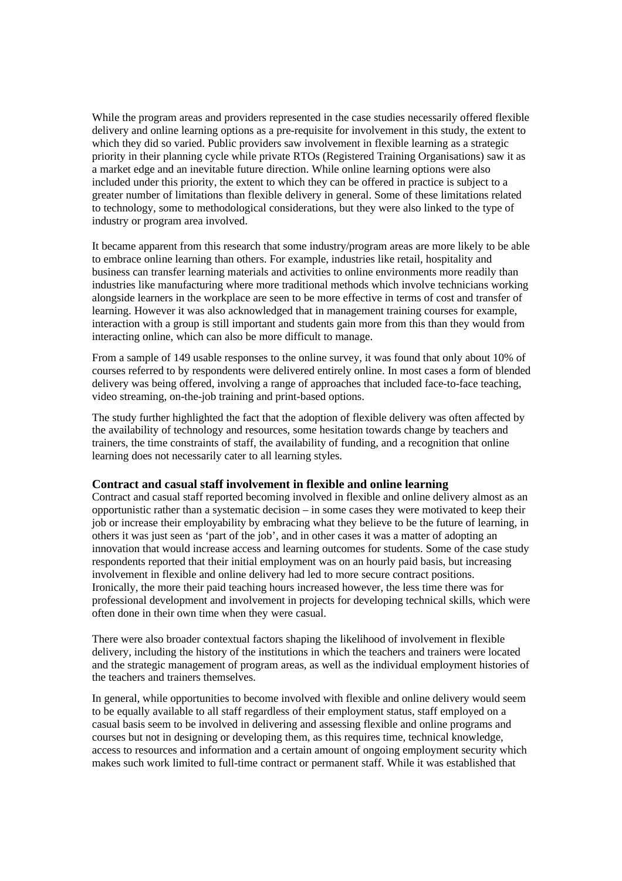While the program areas and providers represented in the case studies necessarily offered flexible delivery and online learning options as a pre-requisite for involvement in this study, the extent to which they did so varied. Public providers saw involvement in flexible learning as a strategic priority in their planning cycle while private RTOs (Registered Training Organisations) saw it as a market edge and an inevitable future direction. While online learning options were also included under this priority, the extent to which they can be offered in practice is subject to a greater number of limitations than flexible delivery in general. Some of these limitations related to technology, some to methodological considerations, but they were also linked to the type of industry or program area involved.

It became apparent from this research that some industry/program areas are more likely to be able to embrace online learning than others. For example, industries like retail, hospitality and business can transfer learning materials and activities to online environments more readily than industries like manufacturing where more traditional methods which involve technicians working alongside learners in the workplace are seen to be more effective in terms of cost and transfer of learning. However it was also acknowledged that in management training courses for example, interaction with a group is still important and students gain more from this than they would from interacting online, which can also be more difficult to manage.

From a sample of 149 usable responses to the online survey, it was found that only about 10% of courses referred to by respondents were delivered entirely online. In most cases a form of blended delivery was being offered, involving a range of approaches that included face-to-face teaching, video streaming, on-the-job training and print-based options.

The study further highlighted the fact that the adoption of flexible delivery was often affected by the availability of technology and resources, some hesitation towards change by teachers and trainers, the time constraints of staff, the availability of funding, and a recognition that online learning does not necessarily cater to all learning styles.

#### **Contract and casual staff involvement in flexible and online learning**

Contract and casual staff reported becoming involved in flexible and online delivery almost as an opportunistic rather than a systematic decision – in some cases they were motivated to keep their job or increase their employability by embracing what they believe to be the future of learning, in others it was just seen as 'part of the job', and in other cases it was a matter of adopting an innovation that would increase access and learning outcomes for students. Some of the case study respondents reported that their initial employment was on an hourly paid basis, but increasing involvement in flexible and online delivery had led to more secure contract positions. Ironically, the more their paid teaching hours increased however, the less time there was for professional development and involvement in projects for developing technical skills, which were often done in their own time when they were casual.

There were also broader contextual factors shaping the likelihood of involvement in flexible delivery, including the history of the institutions in which the teachers and trainers were located and the strategic management of program areas, as well as the individual employment histories of the teachers and trainers themselves.

In general, while opportunities to become involved with flexible and online delivery would seem to be equally available to all staff regardless of their employment status, staff employed on a casual basis seem to be involved in delivering and assessing flexible and online programs and courses but not in designing or developing them, as this requires time, technical knowledge, access to resources and information and a certain amount of ongoing employment security which makes such work limited to full-time contract or permanent staff. While it was established that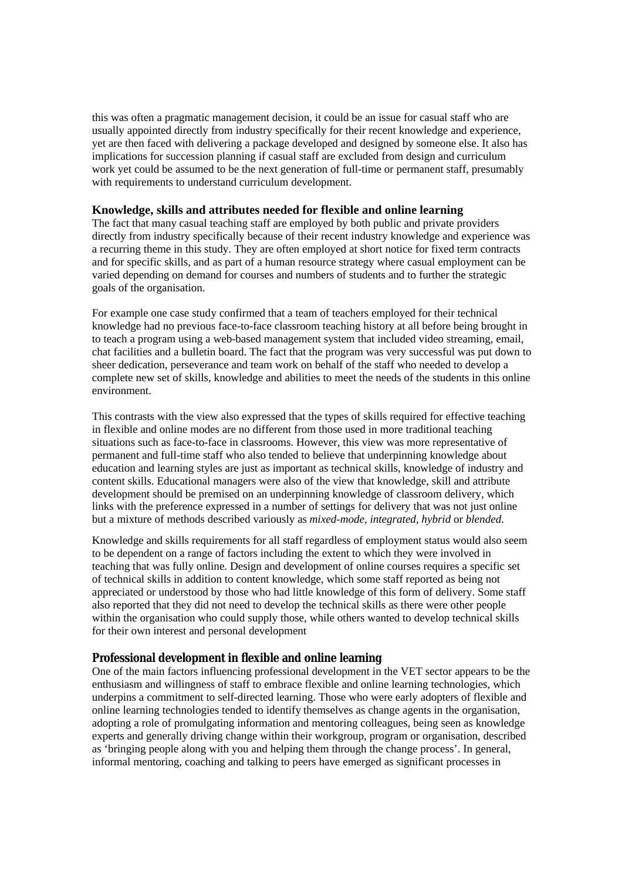this was often a pragmatic management decision, it could be an issue for casual staff who are usually appointed directly from industry specifically for their recent knowledge and experience, yet are then faced with delivering a package developed and designed by someone else. It also has implications for succession planning if casual staff are excluded from design and curriculum work yet could be assumed to be the next generation of full-time or permanent staff, presumably with requirements to understand curriculum development.

#### **Knowledge, skills and attributes needed for flexible and online learning**

The fact that many casual teaching staff are employed by both public and private providers directly from industry specifically because of their recent industry knowledge and experience was a recurring theme in this study. They are often employed at short notice for fixed term contracts and for specific skills, and as part of a human resource strategy where casual employment can be varied depending on demand for courses and numbers of students and to further the strategic goals of the organisation.

For example one case study confirmed that a team of teachers employed for their technical knowledge had no previous face-to-face classroom teaching history at all before being brought in to teach a program using a web-based management system that included video streaming, email, chat facilities and a bulletin board. The fact that the program was very successful was put down to sheer dedication, perseverance and team work on behalf of the staff who needed to develop a complete new set of skills, knowledge and abilities to meet the needs of the students in this online environment.

This contrasts with the view also expressed that the types of skills required for effective teaching in flexible and online modes are no different from those used in more traditional teaching situations such as face-to-face in classrooms. However, this view was more representative of permanent and full-time staff who also tended to believe that underpinning knowledge about education and learning styles are just as important as technical skills, knowledge of industry and content skills. Educational managers were also of the view that knowledge, skill and attribute development should be premised on an underpinning knowledge of classroom delivery, which links with the preference expressed in a number of settings for delivery that was not just online but a mixture of methods described variously as *mixed-mode, integrated, hybrid* or *blended*.

Knowledge and skills requirements for all staff regardless of employment status would also seem to be dependent on a range of factors including the extent to which they were involved in teaching that was fully online. Design and development of online courses requires a specific set of technical skills in addition to content knowledge, which some staff reported as being not appreciated or understood by those who had little knowledge of this form of delivery. Some staff also reported that they did not need to develop the technical skills as there were other people within the organisation who could supply those, while others wanted to develop technical skills for their own interest and personal development

#### **Professional development in flexible and online learning**

One of the main factors influencing professional development in the VET sector appears to be the enthusiasm and willingness of staff to embrace flexible and online learning technologies, which underpins a commitment to self-directed learning. Those who were early adopters of flexible and online learning technologies tended to identify themselves as change agents in the organisation, adopting a role of promulgating information and mentoring colleagues, being seen as knowledge experts and generally driving change within their workgroup, program or organisation, described as 'bringing people along with you and helping them through the change process'. In general, informal mentoring, coaching and talking to peers have emerged as significant processes in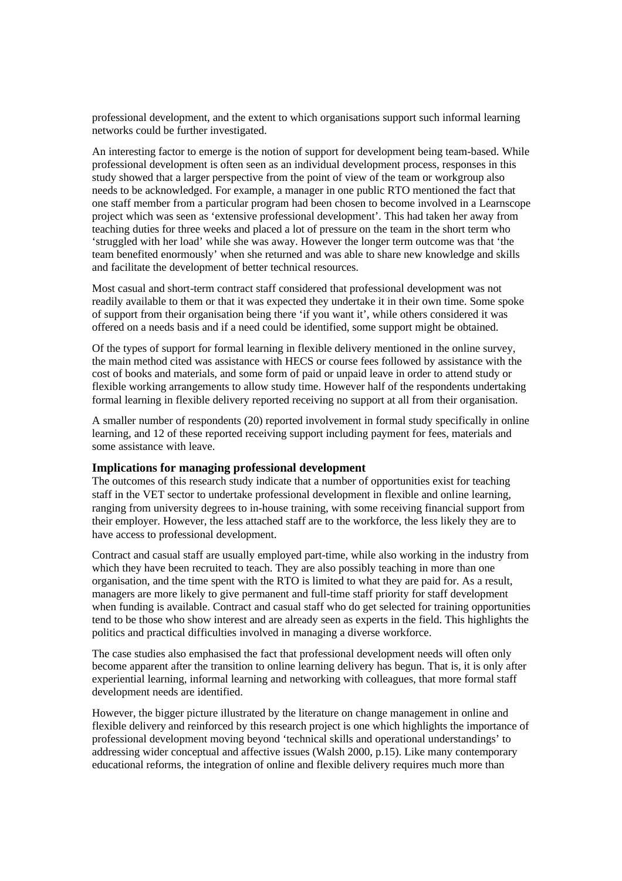professional development, and the extent to which organisations support such informal learning networks could be further investigated.

An interesting factor to emerge is the notion of support for development being team-based. While professional development is often seen as an individual development process, responses in this study showed that a larger perspective from the point of view of the team or workgroup also needs to be acknowledged. For example, a manager in one public RTO mentioned the fact that one staff member from a particular program had been chosen to become involved in a Learnscope project which was seen as 'extensive professional development'. This had taken her away from teaching duties for three weeks and placed a lot of pressure on the team in the short term who 'struggled with her load' while she was away. However the longer term outcome was that 'the team benefited enormously' when she returned and was able to share new knowledge and skills and facilitate the development of better technical resources.

Most casual and short-term contract staff considered that professional development was not readily available to them or that it was expected they undertake it in their own time. Some spoke of support from their organisation being there 'if you want it', while others considered it was offered on a needs basis and if a need could be identified, some support might be obtained.

Of the types of support for formal learning in flexible delivery mentioned in the online survey, the main method cited was assistance with HECS or course fees followed by assistance with the cost of books and materials, and some form of paid or unpaid leave in order to attend study or flexible working arrangements to allow study time. However half of the respondents undertaking formal learning in flexible delivery reported receiving no support at all from their organisation.

A smaller number of respondents (20) reported involvement in formal study specifically in online learning, and 12 of these reported receiving support including payment for fees, materials and some assistance with leave.

# **Implications for managing professional development**

The outcomes of this research study indicate that a number of opportunities exist for teaching staff in the VET sector to undertake professional development in flexible and online learning, ranging from university degrees to in-house training, with some receiving financial support from their employer. However, the less attached staff are to the workforce, the less likely they are to have access to professional development.

Contract and casual staff are usually employed part-time, while also working in the industry from which they have been recruited to teach. They are also possibly teaching in more than one organisation, and the time spent with the RTO is limited to what they are paid for. As a result, managers are more likely to give permanent and full-time staff priority for staff development when funding is available. Contract and casual staff who do get selected for training opportunities tend to be those who show interest and are already seen as experts in the field. This highlights the politics and practical difficulties involved in managing a diverse workforce.

The case studies also emphasised the fact that professional development needs will often only become apparent after the transition to online learning delivery has begun. That is, it is only after experiential learning, informal learning and networking with colleagues, that more formal staff development needs are identified.

However, the bigger picture illustrated by the literature on change management in online and flexible delivery and reinforced by this research project is one which highlights the importance of professional development moving beyond 'technical skills and operational understandings' to addressing wider conceptual and affective issues (Walsh 2000, p.15). Like many contemporary educational reforms, the integration of online and flexible delivery requires much more than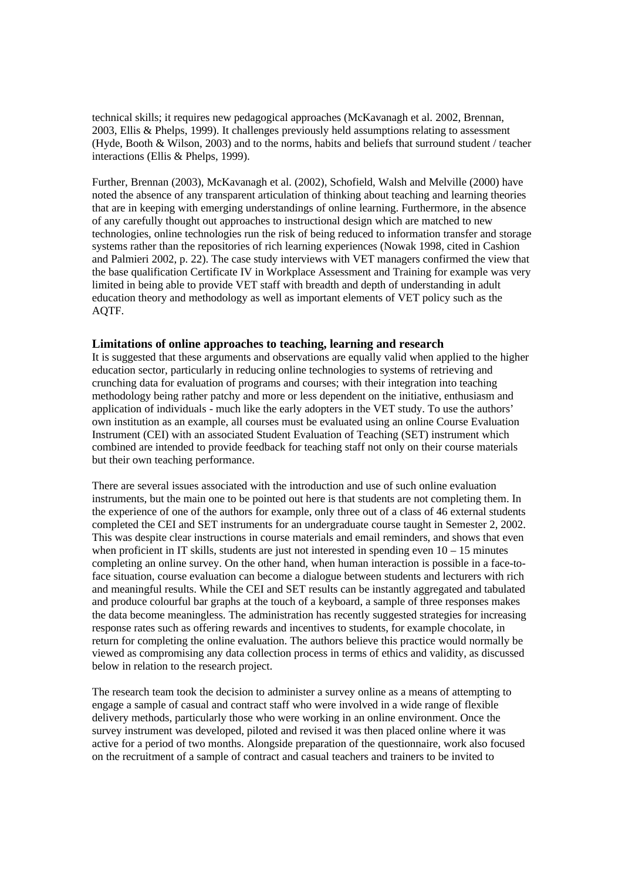technical skills; it requires new pedagogical approaches (McKavanagh et al. 2002, Brennan, 2003, Ellis & Phelps, 1999). It challenges previously held assumptions relating to assessment (Hyde, Booth & Wilson, 2003) and to the norms, habits and beliefs that surround student / teacher interactions (Ellis & Phelps, 1999).

Further, Brennan (2003), McKavanagh et al. (2002), Schofield, Walsh and Melville (2000) have noted the absence of any transparent articulation of thinking about teaching and learning theories that are in keeping with emerging understandings of online learning. Furthermore, in the absence of any carefully thought out approaches to instructional design which are matched to new technologies, online technologies run the risk of being reduced to information transfer and storage systems rather than the repositories of rich learning experiences (Nowak 1998, cited in Cashion and Palmieri 2002, p. 22). The case study interviews with VET managers confirmed the view that the base qualification Certificate IV in Workplace Assessment and Training for example was very limited in being able to provide VET staff with breadth and depth of understanding in adult education theory and methodology as well as important elements of VET policy such as the AQTF.

## **Limitations of online approaches to teaching, learning and research**

It is suggested that these arguments and observations are equally valid when applied to the higher education sector, particularly in reducing online technologies to systems of retrieving and crunching data for evaluation of programs and courses; with their integration into teaching methodology being rather patchy and more or less dependent on the initiative, enthusiasm and application of individuals - much like the early adopters in the VET study. To use the authors' own institution as an example, all courses must be evaluated using an online Course Evaluation Instrument (CEI) with an associated Student Evaluation of Teaching (SET) instrument which combined are intended to provide feedback for teaching staff not only on their course materials but their own teaching performance.

There are several issues associated with the introduction and use of such online evaluation instruments, but the main one to be pointed out here is that students are not completing them. In the experience of one of the authors for example, only three out of a class of 46 external students completed the CEI and SET instruments for an undergraduate course taught in Semester 2, 2002. This was despite clear instructions in course materials and email reminders, and shows that even when proficient in IT skills, students are just not interested in spending even  $10 - 15$  minutes completing an online survey. On the other hand, when human interaction is possible in a face-toface situation, course evaluation can become a dialogue between students and lecturers with rich and meaningful results. While the CEI and SET results can be instantly aggregated and tabulated and produce colourful bar graphs at the touch of a keyboard, a sample of three responses makes the data become meaningless. The administration has recently suggested strategies for increasing response rates such as offering rewards and incentives to students, for example chocolate, in return for completing the online evaluation. The authors believe this practice would normally be viewed as compromising any data collection process in terms of ethics and validity, as discussed below in relation to the research project.

The research team took the decision to administer a survey online as a means of attempting to engage a sample of casual and contract staff who were involved in a wide range of flexible delivery methods, particularly those who were working in an online environment. Once the survey instrument was developed, piloted and revised it was then placed online where it was active for a period of two months. Alongside preparation of the questionnaire, work also focused on the recruitment of a sample of contract and casual teachers and trainers to be invited to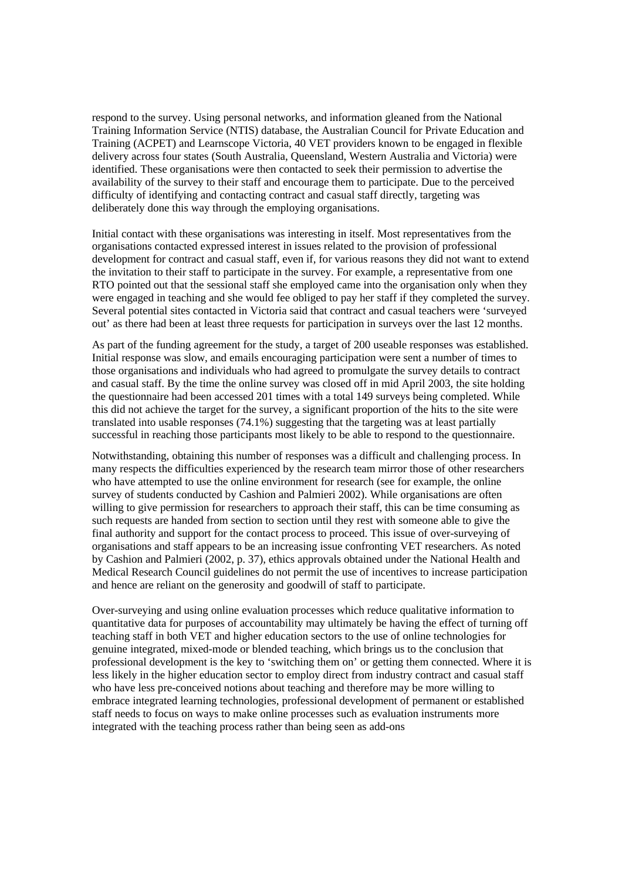respond to the survey. Using personal networks, and information gleaned from the National Training Information Service (NTIS) database, the Australian Council for Private Education and Training (ACPET) and Learnscope Victoria, 40 VET providers known to be engaged in flexible delivery across four states (South Australia, Queensland, Western Australia and Victoria) were identified. These organisations were then contacted to seek their permission to advertise the availability of the survey to their staff and encourage them to participate. Due to the perceived difficulty of identifying and contacting contract and casual staff directly, targeting was deliberately done this way through the employing organisations.

Initial contact with these organisations was interesting in itself. Most representatives from the organisations contacted expressed interest in issues related to the provision of professional development for contract and casual staff, even if, for various reasons they did not want to extend the invitation to their staff to participate in the survey. For example, a representative from one RTO pointed out that the sessional staff she employed came into the organisation only when they were engaged in teaching and she would fee obliged to pay her staff if they completed the survey. Several potential sites contacted in Victoria said that contract and casual teachers were 'surveyed out' as there had been at least three requests for participation in surveys over the last 12 months.

As part of the funding agreement for the study, a target of 200 useable responses was established. Initial response was slow, and emails encouraging participation were sent a number of times to those organisations and individuals who had agreed to promulgate the survey details to contract and casual staff. By the time the online survey was closed off in mid April 2003, the site holding the questionnaire had been accessed 201 times with a total 149 surveys being completed. While this did not achieve the target for the survey, a significant proportion of the hits to the site were translated into usable responses (74.1%) suggesting that the targeting was at least partially successful in reaching those participants most likely to be able to respond to the questionnaire.

Notwithstanding, obtaining this number of responses was a difficult and challenging process. In many respects the difficulties experienced by the research team mirror those of other researchers who have attempted to use the online environment for research (see for example, the online survey of students conducted by Cashion and Palmieri 2002). While organisations are often willing to give permission for researchers to approach their staff, this can be time consuming as such requests are handed from section to section until they rest with someone able to give the final authority and support for the contact process to proceed. This issue of over-surveying of organisations and staff appears to be an increasing issue confronting VET researchers. As noted by Cashion and Palmieri (2002, p. 37), ethics approvals obtained under the National Health and Medical Research Council guidelines do not permit the use of incentives to increase participation and hence are reliant on the generosity and goodwill of staff to participate.

Over-surveying and using online evaluation processes which reduce qualitative information to quantitative data for purposes of accountability may ultimately be having the effect of turning off teaching staff in both VET and higher education sectors to the use of online technologies for genuine integrated, mixed-mode or blended teaching, which brings us to the conclusion that professional development is the key to 'switching them on' or getting them connected. Where it is less likely in the higher education sector to employ direct from industry contract and casual staff who have less pre-conceived notions about teaching and therefore may be more willing to embrace integrated learning technologies, professional development of permanent or established staff needs to focus on ways to make online processes such as evaluation instruments more integrated with the teaching process rather than being seen as add-ons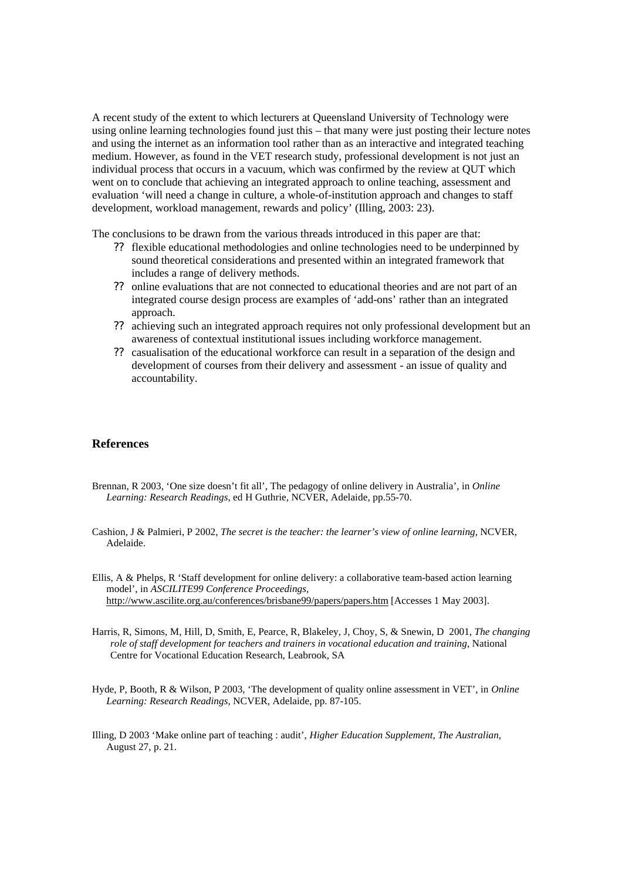A recent study of the extent to which lecturers at Queensland University of Technology were using online learning technologies found just this – that many were just posting their lecture notes and using the internet as an information tool rather than as an interactive and integrated teaching medium. However, as found in the VET research study, professional development is not just an individual process that occurs in a vacuum, which was confirmed by the review at QUT which went on to conclude that achieving an integrated approach to online teaching, assessment and evaluation 'will need a change in culture, a whole-of-institution approach and changes to staff development, workload management, rewards and policy' (Illing, 2003: 23).

The conclusions to be drawn from the various threads introduced in this paper are that:

- ?? flexible educational methodologies and online technologies need to be underpinned by sound theoretical considerations and presented within an integrated framework that includes a range of delivery methods.
- ?? online evaluations that are not connected to educational theories and are not part of an integrated course design process are examples of 'add-ons' rather than an integrated approach.
- ?? achieving such an integrated approach requires not only professional development but an awareness of contextual institutional issues including workforce management.
- ?? casualisation of the educational workforce can result in a separation of the design and development of courses from their delivery and assessment - an issue of quality and accountability.

# **References**

- Brennan, R 2003, 'One size doesn't fit all', The pedagogy of online delivery in Australia', in *Online Learning: Research Readings,* ed H Guthrie, NCVER, Adelaide, pp.55-70.
- Cashion, J & Palmieri, P 2002, *The secret is the teacher: the learner's view of online learning,* NCVER, Adelaide.
- Ellis, A & Phelps, R 'Staff development for online delivery: a collaborative team-based action learning model', in *ASCILITE99 Conference Proceedings,* http://www.ascilite.org.au/conferences/brisbane99/papers/papers.htm [Accesses 1 May 2003].
- Harris, R, Simons, M, Hill, D, Smith, E, Pearce, R, Blakeley, J, Choy, S, & Snewin, D 2001, *The changing role of staff development for teachers and trainers in vocational education and training*, National Centre for Vocational Education Research, Leabrook, SA
- Hyde, P, Booth, R & Wilson, P 2003, 'The development of quality online assessment in VET', in *Online Learning: Research Readings,* NCVER, Adelaide, pp. 87-105.
- Illing, D 2003 'Make online part of teaching : audit', *Higher Education Supplement, The Australian*, August 27, p. 21.